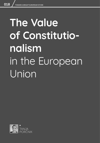# **The Value of Constitutionalism**  in the European Union

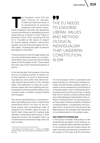**THE EUROM CHECK**<br>
the European Union (EU) has<br>
the achievement factor in<br>
its achievement of economic<br>
prosperity and further institu-<br>
tional integration has been the agreement been thriving for decades. A subtle yet important factor in its achievement of economic prosperity and further instituon and commitment to upholding common values laid out in Article 2 of the Treaty on European Union (TEU), providing that the EU is "*founded on the values of respect for human dignity, freedom, democracy, equality, the rule of law and respect for human rights, including the rights of persons belonging to minorities."*<sup>1</sup>

These provisions of the EU legal system are not only fundamental values in a constitutional democracy, but are also the founding values of the European Union. These values form the core of the institutional identity of the EU.

In the last decade, the European Union has seen an increasing number of attacks on, or even rejection of, some of these founding values by none other than democratically elected governments of EU member states. The opposition to these EU constitutional values was most explicitly and systematically formed by political elites in two member states in Eastern Europe (Poland and Hungary).

The recent developments of constitutionalism backsliding pose risks of detrimental institutional effects not only on the political system and constitutional order of respective EU member states but also on the EU itself. Unless each EU member state upholds constitutional democracy in their respective society, the European Union, as it is defined and constituted today, does not have a future.

99 THE EU NEEDS TO ENDORSE LIBERAL VALUES AND METHOD-OLOGICAL INDIVIDUALISM THAT UNDERPIN CONSTITUTION-ALISM

For the European Union to persevere and keep thriving as a community of liberal societies and democratic political systems, it needs to show unwavering commitment to constitutionalism, which is defined by limited government and the rule of law. In doing that, the EU needs to endorse liberal values and methodological individualism that underpin constitutionalism by reaching out to as many open minds as possible to embrace constitutionalism. Consequently, the European Union, as we know it, will survive or fall depending on the strength and robustness of constitutionalism in its member states.

#### ON CONSTITUTIONALISM

In the pursuit of better effectuation of the fundamental principles of the political regime, constitutionalism defines and delimits the political ends and means within the realm of politics by imposing constraints on the power of the state and the discretion

<sup>&</sup>lt;sup>1</sup> The Treaty on European Union - Article 2. Available [online][: h](https://eur-lex.europa.eu/eli/treaty/teu_2012/art_2/oj)ttps://eur-lex.europa.eu/eli/treaty/teu\_2012/ art\_2/oj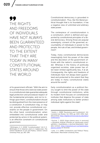99 THE RIGHTS AND FREEDOMS OF INDIVIDUALS HAVE NOT ALWAYS BEEN GUARANTEED AND PROTECTED TO THE EXTENT THAT THEY ARE TODAY IN MANY CONSTITUTIONAL STATES AROUND THE WORLD

of its government officials.<sup>2</sup> With the aim to ensure that those who exercise state power in a constitutional state guarantee adequate legal protection and procedural respect of the fundamental principles, and not to infringe upon them, constitutionalism should be distinguished from the mere presence of a constitution. A constitution may, or may not, provide effective constitutional constraints on the people in government. On the other hand, constitutionalism, when embedded into constitutional order and protected by actors in the political system, is an effective constraint on constitutional government.

Constitutional democracy is grounded in constitutionalism. Thus, like the liberal political thought that is its foundation, it has a negative view of unlimited and arbitrary state power.

The centerpiece of constitutionalism is a constitution, which is defined and supported by constitutional principles of a liberal democracy. Among those are popular sovereignty, consent of the governed, accountability of individuals in power to the people, the rule of law, and limited government<sup>3</sup>.

Today, many constitutional democracies meaningfully limit the power of the state and the discretion of the government officials with the nation's constitutional order. Whereas in the history of politically organized societies, state power has often been limited significantly less, if at all. Consequently, the rights and freedoms of individuals have not always been guaranteed and protected to the extent that they are today in many constitutional states around the world<sup>4</sup>.

Early constitutionalism as a political theory sought to limit the power of the state through constitutional institutions, while its modern form focuses on constitutional institutes that disperse the power of state among state institutions to better protect individual rights against the state<sup>5</sup>.

<sup>2</sup> Whittington, K. E. (2008) "Constitutionalism", [in]: K. E. Whittington, R. D. Kelemen, and G. A. Caldeira (ed.), *The Oxford Handbook of Law and Politics*, Oxford: Oxford University Press, pp. 281–299.

<sup>&</sup>lt;sup>3</sup> Henkin, L. (1989) "Revolutions and Constitutions", [in]: *Louisiana Law Review*, Vol. 49(5), pp. 1023–1056. Available [online]: [https://digitalcommons.law.lsu.edu/lalrev/](https://digitalcommons.law.lsu.edu/lalrev/vol49/iss5/2/) [vol49/iss5/2/](https://digitalcommons.law.lsu.edu/lalrev/vol49/iss5/2/)

<sup>4</sup> Porčnik, T. (2022) *Vloga sistema zavor in ravnovesij v Združenih državah Amerike pri spoštovanju pravic ujetnikov v Guantánamu*, a doctoral dissertation. Available [online]: [https://repozitorij.uni-lj.si/IzpisGradiva.](https://repozitorij.uni-lj.si/IzpisGradiva.php?id=135357) [php?id=135357](https://repozitorij.uni-lj.si/IzpisGradiva.php?id=135357) [in Slovene]

<sup>5</sup> Lane, J.-E. (1996) *Constitutions and Political Theory*, Manchester: Manchester University Press.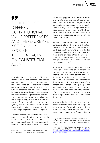99 SOCIETIES HAVE DIFFERENT CONSTITUTIONAL VALUE PREFERENCES AND THEREFORE ARE NOT EQUALLY RESISTANT TO THE ATTACKS ON CONSTITUTION-ALISM

Crucially, the mere presence of legal restrictions on the power of the state, spelled out in the legal system, is not a guarantee for constitutionalism, as the latter depends on whether these restrictions of a constitutional order are also effective<sup>6</sup>. Effective limitation of power should not only prevent the state from making steps from constitutional democracy toward absolutism, but, more importantly, should ensure that the power of the state in its arbitrariness and tyranny over the people ceased to protect human rights and freedoms and other fundamental principles of a political regime.

Societies have different constitutional value preferences and therefore are not equally resistant to the attacks on constitutionalism. As an example, those with strong commitments to fairness and the rule of law tend to be better equipped for such events. However, while a constitutional democracy welcomes and even encourages different constitutional interceptions to be eventually settled through institutional process by political actors, the commitment of both political class and citizens at large to common values is a prerequisite for a constitutional state to persevere.

Richard S. Kay argues that consenting to constitutionalism, where life in a liberal society is subject to the constitutional order, is a risk-averse strategy, where the individual prefers strict restrictions on the power and functioning of state rather than the possibility of government unduly interfering with private lives of individuals when new circumstances arise<sup>7</sup>.

Importantly, limited government is the "*ethos* of constitutionalism," whereas how specifically these legal restraints ought to underpin and define the constitutional order in a modern liberal state remains a challenge8. Such a challenge also applies to the drafting and enforcing provisions of the constitutional order defining the political and legal consequences for those in government who act in conflict with provisions of the constitution – for instance, by not protecting constitutional values of a liberal democracy.

In a constitutional democracy, constitutional values are constraints on the people in government. When clearly specified in a constitution, these constitutional constraints are its hard-wired features. On the

<sup>6</sup> Friedrich, C. J. (1974) *Limited Government: A Comparison*, Englewood Cliffs, New Jersey: Prentice-Hall.

<sup>7</sup> Kay, R. (2001) "American Constitutionalism", [in]: L. Alexander (ed.), *Constitutionalism: Philosophical Foundations*, Cambridge: Cambridge University Press, pp. 16–63.

<sup>8</sup> Vile, M. J. C. (1998) *Constitutionalism and the Sepa*ration of Powers, 2<sup>nd</sup> Edition. Available [online]: [https://](https://oll.libertyfund.org/title/vile-constitutionalism-and-the-separation-of-powers ) [oll.libertyfund.org/title/vile-constitutionalism-and-the](https://oll.libertyfund.org/title/vile-constitutionalism-and-the-separation-of-powers )[separation-of-powers](https://oll.libertyfund.org/title/vile-constitutionalism-and-the-separation-of-powers )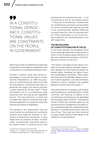99 IN A CONSTITU-TIONAL DEMOC-RACY, CONSTITU-TIONAL VALUES ARE CONSTRAINTS ON THE PEOPLE IN GOVERNMENT

other hand, when not defined at a high level of specificity, they might be regarded as soft constraints on a constitutional government.

Richard A. Epstein notes that textual interpretation is only the first step in constitutional interpretation, as *"[t]he key questions of constitutional law have to do with the articulations of doctrines that have no particular text origin, but whose inclusion is fairly required by the text itself"*9. These articulations are in a constitutional state expected from the judicial and legislative branch. The two branches co-build and co-define the nation's constitutional order with the application of a judicial review and political procedure of legislating.

The people in the government may fail to be bound by constitutional constraints because they might be resisting or contesting constitutional constraints, or they might even be unaware of them. In either event, constitutional constraints need to be made known to political actors and

enforced by the institutional ones – in all circumstances and for all political actors – if they are to be effective. Furthermore, no constitutional constraint can be written out of the constitutional order by way that is not constitutionally defined otherwise a society faces the crisis of constitutionalism. Most importantly, it is up to the society to defend it, as constitutionalism is not self-supporting.

## THE BACKSLIDING OF CONSTITUTIONALISM IN THE EU

In the recent decade, the European Union has increasingly witnessed undermining of some of the founding values referred to in the core institutional provisions of the EU, laid out in Article 2 of the TEU:

*"The Union is founded on the values of respect for human dignity, freedom, democracy, equality, the rule of law and respect for human rights, including the rights of persons belonging to minorities. These values are common to the Member States in a society in which pluralism, non-discrimination, tolerance, justice, solidarity and equality between women and men prevail."*<sup>10</sup>

The governments of Hungary and Poland, while weakening constitutionalism in their countries, are resisting to adhere to EU constitutional constraints by not upholding the founding values of the EU. The political actors in these two member states do not possess the lack of judgment, but rather reject constitutionalism by undermining their elements of limited government and the rule of law. They have put their electoral or policy needs ahead of their desire to be faithful to constitutionalism.

<sup>9</sup> Esptein, R. A. (2006) *How Progressives Rewrote the Constitution*, Washington, D.C.: Cato Institute, p. 9.

<sup>&</sup>lt;sup>10</sup> The Treaty on European Union - Article 2. Available [online]: [https://eur-lex.europa.eu/eli/treaty/teu\\_2012/](https://eur-lex.europa.eu/eli/treaty/teu_2012/art_2/oj) [art\\_2/oj](https://eur-lex.europa.eu/eli/treaty/teu_2012/art_2/oj)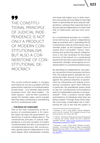## 99 THE CONSTITU-TIONAL PRINCIPLE OF JUDICIAL INDE-PENDENCE IS NOT ONLY A PRODUCT OF MODERN CON-STITUTIONALISM, BUT ALSO A COR-NERSTONE OF CON-STITUTIONAL DE-MOCRACY

The current political leaders in Hungary and Poland do not see a problem with the government's rejection of constitutionalism at both levels – of a member state and the European Union. Still, these leaders – for other reasons – wish for their countries to remain EU member states, which includes that they keep contributing to and defining the EU's constitutional order.

## … THE ROLE OF JUDICIARY

One of the main components of the rejection of constitutionalism in EU member states has been the government's undermining of judicial independence. The constitutional principle of judicial independence is not only a product of modern constitutionalism but also a cornerstone of constitutional democracy. Still, not all societies uphold judicial independence to the same degree. More individualistic societies and those with higher trust in other members of a society are more likely to have high levels of (perceived) *de facto* judicial independence, whereas their expected level of *de jure* judicial independence is lower than that of collectivistic and low-trust societies $11$ .

As a constitutional principle of a constitutional democracy, judicial independence plays an *essential* role in upholding the EU constitutional order by enforcing EU law in member states, as the European Court of Justice (ECJ) concluded<sup>12</sup>. Hence, maintaining and protecting judicial independence is not only necessary for the proper function of this branch of a constitutional government but also a precondition for the robustness, strength, and longevity of constitutionalism in a constitutional democracy.

By upholding its independence, the judiciary can perform three necessary functions. First, the judicial branch upholds the constitutional order. Second, it acts as a check against the political branches of government by interpreting and making constitutional constraints upon them effective. In particular, the presidential system tends to slip into constitutional noncompliance when an independent judiciary is not guaranteed<sup>13</sup>. Third, it protects human rights and freedoms of individuals when they are being violated. Through these three ways, the courts play a meaningful role in maintaining the rule of law and the system of

<sup>&</sup>lt;sup>11</sup> Gutmann, J. and S. Voigt (2020) "Judicial Independence in the EU: a puzzle", [in]: *European Journal of Law and Economics*, Vol. 49, pp. 83–100.

<sup>12</sup> C-64/16 - Associaçao Sindical dos Juízes Portugueses v Tribunal de Contas (2018) *ECLI:EU:C:2018:117.*  Available [online]: [https://curia.europa.eu/juris/liste.](https://curia.europa.eu/juris/liste.jsf?language=en&num=C-64/16) [jsf?language=en&num=C-64/16](https://curia.europa.eu/juris/liste.jsf?language=en&num=C-64/16)

<sup>&</sup>lt;sup>13</sup> Gutmann, J. and S. Voigt (2021) "Militant Constitutionalism: A Promising Concept to Make Constitutional Backsliding Less Likely?", [in]: *Public Choice*. Available [online]: [https://link.springer.com/article/10.1007/s11127-](https://link.springer.com/article/10.1007/s11127-021-00874-1  ) [021-00874-1](https://link.springer.com/article/10.1007/s11127-021-00874-1  )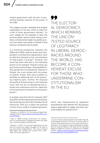limited government with the aim of preventing arbitrary exercise of the power of the state.

The judges provide a detailed and lengthy examination of the law, which is often not a skill of other government officials<sup>14</sup>. As such, judges do not evaluate or take into account public opinion when trying to address constitutional neglect by political actors, but rather only speak on behalf of and enforce constitutional principles.

In a historical perspective, between the 1960s and 1990s, judicial review and independent constitutional adjudication were an effective obstacle to the concentration of state power in Europe<sup>15</sup>. However, this trend has been affected in the following period. As an example, Poland's ruling Law and Justice party (Prawo i Sprawiedliwość, PiS) packed the Constitutional Tribunal in Poland, the court vested with the power of judicial review, with party-loyalists to facilitate an additional tool of the governing majority party. Further, PiS imposed the political maneuvering on the Supreme Court with the aim of disciplining the judiciary into submission and non-objection to the removal of constraints on the party's power<sup>16</sup>.

In another case from the EU, between 2017 and 2019, the Romanian government led by the Social Democratic Party (Partidul Social Democrat, PSD) put in place the political control of the content of judicial decisions,

99 THE ELECTOR-AL DEMOCRACY, WHICH REMAINS THE UNCON-TESTED SOURCE OF LEGITIMACY IN LIBERAL DEMOC-RACIES AROUND THE WORLD, HAS BECOME A CON-VENIENT EXCUSE FOR THOSE WHO UNDERMINE CON-STITUTIONALISM IN THE EU

which was implemented by legislative amendments that defined the disciplinary regime applicable to judges and their personal liability for judicial error<sup>17</sup>.

<sup>14</sup> Hamilton, A. (2008) *No. 78: The Judiciary Department*. Available [online]: [https://avalon.law.yale.edu/18th\\_cen](https://avalon.law.yale.edu/18th_century/fed78.asp )[tury/fed78.asp](https://avalon.law.yale.edu/18th_century/fed78.asp ) 

<sup>15</sup> Sajó, A. (1999) *Limiting Government. An Introduction to Constitutionalism*, Budapest and New York, New York: Central European University Press.

<sup>16</sup> Bojarski, Ł. (2021) "Civil Society Organizations for and with the Courts and Judges—Struggle for the Rule of Law and Judicial Independence: The Case of Poland 1976–2020", [in]: *German Law Journal*, 22(7): 1344– 1384. DOI:10.1017/glj.2021.72

<sup>&</sup>lt;sup>17</sup> Court of Justice of the European Union (2021, May 18). Press Release No 82/21: The Court of Justice rules on a series of Romanian reforms in the areas of judicial organization, the disciplinary regime applicable to judges, and the financial liability of the State and the personal liability of judges as a result of a judicial error. Available [online]: [https://curia.europa.eu/jcms/upload/docs/ap](https://curia.europa.eu/jcms/upload/docs/application/pdf/2021-05/cp210082en.pdf)[plication/pdf/2021-05/cp210082en.pdf](https://curia.europa.eu/jcms/upload/docs/application/pdf/2021-05/cp210082en.pdf)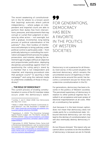The recent weakening of constitutionalism in the EU attests to a known axiom that (aspiring) autocrats attack judicial independency – where judges on independent and impartial courts are able to perform their duties free from interventions, pressures, and inducements that may corrupt or curtail their judgment or decisions by other actors – not overnight, but with a gradual, incremental, long-lasting process of political subordination of the judiciary<sup>18</sup>. Also, their toolbox of interference and attempts to bring judiciary under political control is particularly wide – from politically tailoring or controlling the nomination and appointment process for judges, prosecutors, and notaries, altering the retirement age of judges without an objective and proportionate justification, deploying disciplinary proceedings against them for questioning the ruling party's stand by a chamber that is not independent and impartial, and imposing procedural rules that paralyze courts $19$  to spurring a hate campaign<sup>20</sup> and using the national media to undermine credibility of those in the judiciary<sup>21</sup>.

#### … THE ROLE OF DEMOCRACY

The current process of eroding constitutionalism in some of the EU member states occurs under the democracy's watch.

## 99 FOR GENERATIONS, DEMOCRACY HAS BEEN A FAVORITE IN THE POLITICS OF WESTERN SOCIETIES

Democracy is not a panacea for all illnesses. Even worse, in the current situation, the electoral democracy, which remains the uncontested source of legitimacy in liberal democracies around the world, has become a convenient excuse for those who undermine constitutionalism in the EU.

For generations, democracy has been a favorite in the politics of Western societies. The perceived supremacy of democracy in relation to other political regimes has resulted in an acceptance and even praise of electoral majoritarianism at all costs. After all, a constituency has spoken.

Just because it is the best-known option, does not mean that democracy does not create perils for a constitutional state. Unbound electoral democracy can not only lead to the demise of constitutionalism, but will also eventually destroy democracy itself.

As Leo Strauss stressed, *"the reason why we cannot allow ourselves to be the bootlikers of democracy is because we are its friends* 

<sup>18</sup> Levitsky, S. and D. Ziblatt (2018) *How Democracies Die*, New York: Crown.

<sup>19</sup> Walsh, A. (2019) "What Are Poland's Controversial Judicial Reforms?", [in]: *DW*, November 5. Available [online]: [https://www.dw.com/en/what-are-polands-con](https://www.dw.com/en/what-are-polands-controversial-judicial-reforms/a-51121696)[troversial-judicial-reforms/a-51121696](https://www.dw.com/en/what-are-polands-controversial-judicial-reforms/a-51121696)

<sup>20</sup> Applebaum, A. (2020) "The Disturbing Campaign Against Poland's Judges", [in]: *The Atlantic*, January 28. Available [online]: [https://www.theatlantic.com/ideas/](https://www.theatlantic.com/ideas/archive/2020/01/disturbing-campaign-against-polish-judges/605623/) [archive/2020/01/disturbing-campaign-against-polish](https://www.theatlantic.com/ideas/archive/2020/01/disturbing-campaign-against-polish-judges/605623/)[judges/605623/](https://www.theatlantic.com/ideas/archive/2020/01/disturbing-campaign-against-polish-judges/605623/)

<sup>21</sup> Gałczyńska, M. (2019) "Śledztwo Onetu. Farma trolli w Ministerstwie Sprawiedliwości, czyli 'za czynienie dobra nie wsadzamy'", [in]: *Onet.pl*, August 18. Available (online): [https://wiadomosci.onet.pl/tylko-w-onecie/sledztwo](https://wiadomosci.onet.pl/tylko-w-onecie/sledztwo-onetu-farma-trolli-w-ministerstwie-sprawiedliwosci-czyli-za-czynienie-dobra/j6hwp7f)[onetu-farma-trolli-w-ministerstwie-sprawiedliwosci](https://wiadomosci.onet.pl/tylko-w-onecie/sledztwo-onetu-farma-trolli-w-ministerstwie-sprawiedliwosci-czyli-za-czynienie-dobra/j6hwp7f)[czyli-za-czynienie-dobra/j6hwp7f](https://wiadomosci.onet.pl/tylko-w-onecie/sledztwo-onetu-farma-trolli-w-ministerstwie-sprawiedliwosci-czyli-za-czynienie-dobra/j6hwp7f)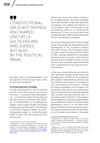## 99 CONSTITUTIONAL-ISM IS NOT DEFINED AND SHAPED ONLY BY LE-GAL SCHOLARS AND JUDGES, BUT ALSO BY THE POLITICAL PRISM

*and allies."* Hence, constitutionalism is not an opponent of democracy, while it does not put it on a pedestal<sup>22</sup>.

#### IT IS THE POLITICS, STUPID!

To fully understand the role of judiciary and the role of democracy in the process of erosion – or possible future strengthening – of constitutionalism, the workings of the latter need to be viewed inside of politics. Constitutionalism is not defined and shaped only by legal scholars and judges but also by the political prism. Its influence is not *a priori* negative. Rather, an all-encompassing analysis of constitutionalism ought to take that vital component into account too.

Politics has direct and indirect influence on constitutionalism. The most noticeable role is where politics shapes the structural, procedural, and substantive features of a constitution. With constitutional order constraining politics in a constitutional democracy, it turns out that politics has a significant say in defining and interpreting its own constitutional constraints.

In terms of interpreting them in the EU legal system, the Hungarian ruling Fidesz party's membership in the European People's Party (EPP Group), until it decided to leave its center-right European political family in 2021, critically weakened the European Parliament and European Commission's exercise of the oversight function over the actions of the Hungarian government that were undermining or even rejecting constitutionalism.

In this case, some political actors at the EU level, who were mindful of votes Fidesz was contributing to the EPP Group, decided to give political considerations priority over the political enforcement of compliance with constitutional constraints<sup>23</sup>. Instead of acting as guardians of the Treaties, the Commission secured its role as the driving force of integration by embracing dialogue with member state governments over robust enforcement of EU law<sup>24</sup>. The constitutional neglect by EU political bodies enabled and contributed to further constitutionalism backsliding in the EU. On the other hand, Poland's PiS did not find a political savior in its EU political family to pave the same path. A much smaller party group of European

<sup>22</sup> Rosenfeld, M. and A. Sajó (2013) "Constitutionalism: Foundations for the New Millennium", [in]: *New Millennium Constitutionalism: Paradigms of Reality and Challenges*, Yerevan: NJHAR. Available [online]: [https://](https://www.venice.coe.int/CoCentre/Harutyunyan_newmillenium.pdf ) [www.venice.coe.int/CoCentre/Harutyunyan\\_newmil](https://www.venice.coe.int/CoCentre/Harutyunyan_newmillenium.pdf )[lenium.pdf](https://www.venice.coe.int/CoCentre/Harutyunyan_newmillenium.pdf ) 

<sup>&</sup>lt;sup>23</sup> Kelemen, R. D. (2017) "Europe's Other Democratic Deficit: National Authoritarianism in Europe's Democratic Union", [in]: *Government & Opposition*, Vol. 52(2), pp. 211–238.

<sup>24</sup> Kelemen, R. D. and T. Pavone (2022) *Where Have the Guardians Gone? Law Enforcement and the Politics of Supranational Forbearance in the European Union*, APSA Preprints. DOI: 10.33774/apsa-2022-c0qjl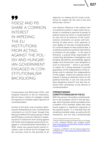# objection to making the EU funds conditional on respect for the rule of law and democratic norms25. Less obvious influence is the indirect role of a political context in cases when the ju-

diciary is unwilling to exercise its power of judicial review by which it would perform its own role of an enforcer of the constitutional constraints on power and functioning of state actors. Such passivity or even apathy on the part of judicial behavior could be based on their political bias. It could also result from political intervention or pressure on the judges – in the case of Romania, a judicial body responsible for conducting disciplinary investigations and bringing disciplinary proceedings against judges and prosecutors was designed as such an instrument – which is yet another reason for it being essential to provide guarantees of the independence of the judiciary and to maintain the independence of the judges. Unless the judiciary has an interest in being an effective check on the political branches, it can not only be the least dangerous branch<sup>26</sup> but also the element that contributes to the demise of constitutionalism.

## **STRENGTHENING** CONSTITUTIONALISM IN THE EU

With the process of eroding constitutionalism in the European Union in the last decade, which has been driven by leaders from a handful of EU member states who have found support in significant segments of the general public, it is essential that the remaining member states, as well as the EU institutions, are not only constitutionally

99 FIDESZ AND PIS SHARE A COMMON INTEREST IN IMPEDING THE EU INSTITUTIONS FROM ACTING AGAINST THE POL-ISH AND HUNGAR-IAN GOVERNMENT ENGAGED IN CON-STITUTIONALISM BACKSLIDING

Conservatives and Reformists (ECR), with marginal influence in the EU institutions, did not have a chance to instigate a bleak EU response to member state's rejection of constitutionalism.

Further to the direct role of politics defining and interpreting its own constitutional constraints on the EU level, though they belong to different EU party groups, Fidesz and PiS share a common interest in impeding the EU institutions from acting against the Polish and Hungarian government engaged in constitutionalism backsliding. In 2020, these two governments jointly invoked a veto to block the EU budget and the recovery fund on the grounds of an

<sup>25</sup> Reuters (2020) *Hungary and Poland Stick to EU Budget Veto, Hungarian Minister Says*. Available [online]: [https://www.reuters.com/article/eu-budget-hungary](https://www.reuters.com/article/eu-budget-hungary-poland-idUSKBN28H1TI )[poland-idUSKBN28H1TI](https://www.reuters.com/article/eu-budget-hungary-poland-idUSKBN28H1TI ) 

<sup>26</sup> Hamilton, A. (2008) No. 78: *The Judiciary Department*. Available [online]: [https://avalon.law.yale.edu/18th\\_cen](https://avalon.law.yale.edu/18th_century/fed78.asp)[tury/fed78.asp](https://avalon.law.yale.edu/18th_century/fed78.asp)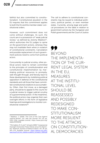faithful but also committed to constitutionalism. Constitutional pluralism in the EU requires that this commitment applies to both the EU and the member states' constitutional orders.

However, such commitment does not come without challenges. As such, the courts are in a possession of "weak judicial review," as defined by Jeremy Waldron<sup>27</sup>, which authorizes the EU judges to opine on the government actions, whereas they may not invalidate them when in violation of constitutional constraints. Cancelation and possible replacement of such government policies need to come from political actors.

Concurrently to judicial scrutiny, other political actors need to remain committed to the principles of constitutionalism and constitutional implementation by marshaling political resources to promptly, well-thought through, and fiercely react to these developments by mobilizing political opposition in defense of the constitutional standards and call those that have committed constitutional violations to accountability. Often, their first move, as a damaged party, should be to appeal to the courts for a judicial review to trigger judicial scrutiny of a governmental action. In the meantime, the political actors may organize their own oversight efforts in the form of legislative hearings and investigations to monitor constitutional violations<sup>28</sup>.

The call to adhere to constitutional constraints may be issued to individual politicians, political parties, or even member states. Currently, among legal and political procedures on the table in relation to government actions by the Hungarian and Polish governments are the Court of Justice

99 BEYOND THE IMPI FMENTA-TION OF THE CUR-RENT LEGAL SYSTEM IN THE EU, MEASURES AT THE INSTITU-TIONAL LEVEL SHOULD BE REASSESSED AND POSSIBLY REDESIGNED TO MAKE CON-STITUTIONALISM MORE RESILIENT TO THE ATTACKS ON CONSTITUTION-AL DEMOCRACIES

<sup>27</sup> Waldron, J. (2006) "The Core of the Case Against Judicial Review", [in]: *Yale Law Journal*, Vol. 115, pp. 1355–1356. Available [online]: https://www.jstor.org/ stable/20455656

<sup>28</sup> McCubbins, M. D. and T. Schwartz (1984) "Congressional Oversight Overlooked: Police Patrols versus Fire Alarms", [in]: *American Journal of Political Science*, Vol. 28, pp. 165–179. Available [online]: [https://fbaum.unc.edu/](https://fbaum.unc.edu/teaching/PLSC541_Fall08/mcubbins_schwartz_1984.pdf) [teaching/PLSC541\\_Fall08/mcubbins\\_schwartz\\_1984.pdf](https://fbaum.unc.edu/teaching/PLSC541_Fall08/mcubbins_schwartz_1984.pdf)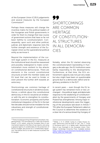of the European Union (CJEU) judgements and several measures by the European Commission<sup>29</sup>

Perhaps these measures will change the incentive matrix for the political leaders of the Hungarian and Polish governments in order for them to change their due course of government actions that have so far not been faithful to constitutionalism. Consequently, upon such and other political, judicial, and diplomatic response rests the further strength and existence of the European Union as the supranational political entity as we know it.

Beyond the implementation of the current legal system in the EU, measures at the institutional level should be reassessed and possibly redesigned to make constitutionalism more resilient to the attacks on constitutional democracies. There are elements in the current constitutional structures at both the member states and EU level that can be used to hinder or even prevent the further drift towards an autocracy.

Shortcomings are common heritage of constitutional structures in all democracies. Hence, a rethink about the constitutional democracy in the EU would be an endeavor with the aim to strengthen its constitutionalism. Economic prosperity and further institutional integration of the EU in the last few decades should not be mistaken for the robustness and strength of constitutionalism in the EU.

## 99 SHORTCOMINGS ARE COMMON HERITAGE OF CONSTITUTION-AL STRUCTURES IN ALL DEMOCRA-CIES

Notably, when the EU started observing the constitutionalism backsliding in Hungary a decade ago, the EU institutions were barely responding to the developments. Furthermore, at that time, the EU's enforcement capacity was not just very weak, but also might have been on questionable ground due to a democratic deficit and legitimacy problems in the EU<sup>30</sup>.

In recent years – even though the EU legal system has remained more or less unchanged – the political, legal, and diplomatic response to the weakening of constitutionalism by the governments of Hungary and Poland has strengthened. Among major institutional developments were the triggering of the procedure laid down in Article 7 TEU after the European Parliament called on the Council to determine the existence of a clear risk of a serious breach by Hungary of

<sup>29</sup> These include launching infringement procedure, triggering Article 7 TEU procedure for a *"clear risk of serious breach"* of EU values, using the European Rule of Law mechanism based on the Rule of Law reports, and using a general regime of conditionality for the protection of the EU's budget, also known as a *"conditionality regulation"* that allows the EU to take measures to protect the EU budget.

<sup>30</sup> Weiler, J. H. H. (2014) "Living in a Glass House: Europe, Democracy and the Rule of Law", [in]: C. Closa, D. Kochenov and J. H. H. Weiler (eds.), *Reinforcing the Rule of Law Oversight in the European Union*, Cambridge: Cambridge University Press. Available [online]: [https://cadmus.eui.eu/bitstream/handle/1814/30117/](https://cadmus.eui.eu/bitstream/handle/1814/30117/RSCAS_2014_25_FINAL.pdf ) [RSCAS\\_2014\\_25\\_FINAL.pdf](https://cadmus.eui.eu/bitstream/handle/1814/30117/RSCAS_2014_25_FINAL.pdf )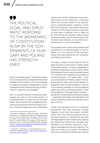99 THE POLITICAL, LEGAL, AND DIPLO-MATIC RESPONSE TO THE WEAKENING OF CONSTITUTION-ALISM BY THE GOV-ERNMENTS OF HUN-GARY AND POLAND HAS STRENGTH-ENED

the EU's founding values $31$ , and the European Court of Justice (ECJ) ruling that Poland had violated the principles of the irremovability of judges and judicial independence when it passed the law lowering the age of retirement for Supreme Court judges<sup>32</sup>.

Still, it is unclear whether institutional safeguards can lead to the enforcement of constitutionalism in these two EU member states, which needs to be accepted and carried out by the governments of these countries. Political nudges and even institutional

checks from the EU institutions may eventually prove to be ineffective in returning these two member states to the upholding of constitutionalism. However, at that point the European Union will at least be at a point to find a way to resolve a question of what type of political union it wants to be. One where all member states uphold constitutionalism, which means that on the EU level it also endures, or one where constitutionalism is not its foundation.

The question also is about the strength and robustness of constitutionalism in the EU before or in the absence of the developments that were ignited by the Hungarian and Polish government.

Crucially, a major shortcoming of the EU legal structure is that while it clearly states its founding values, it is poorly equipped to withstand challenges to these values. What the European Union could do going forward is to reinforce the substantive principles of constitutionalism in its legal order – such as a presumption of liberty, respect for private property rights and human dignity. To guarantee that constitutionalism in the EU is not merely a package in a shiny wrapping paper into which any legal provision could be squeezed in, the legal system requires – along with formal and procedural principles – substantive principles that will define and protect limited government and the rule of law in the EU.

Finally, the European Union is a political experiment. Not only because it brings together more than two dozen member states with prior diverse political history, but also because its institutional structure and legal system have evolved since signing the Maastricht Treaty three decades ago. Debates on EU identity, structures, sovereignty, and legitimacy are still ongoing. This does not come as a surprise, considering that any constitutional democracy evolves

<sup>31</sup> European Parliament (2018) *European Parliament Resolution of 12 September 2018 on a Proposal Calling on the Council to Determine, Pursuant to Article 7(1) of the Treaty on European Union, the Existence of a Clear Risk of a Serious Breach by Hungary of the Values on Which the Union is Founded (2017/2131(INL))*. Available [online]: [https://www.europarl.europa.eu/doceo/docu](https://www.europarl.europa.eu/doceo/document/TA-8-2018-0340_EN.html)[ment/TA-8-2018-0340\\_EN.html](https://www.europarl.europa.eu/doceo/document/TA-8-2018-0340_EN.html)

<sup>32</sup> C-192/18 - Commission v. Poland (2019) *ECLI:EU:C: 2019:529*. Available [online]: [https://curia.europa.eu/ju](https://curia.europa.eu/juris/liste.jsf?num=C-192/18 )[ris/liste.jsf?num=C-192/18](https://curia.europa.eu/juris/liste.jsf?num=C-192/18 )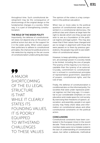throughout time. Such constitutional development may be the consequence of shortcomings of the original design or the fundamental changes in a society. Either way, it is a part of strengthening constitutionalism.

## THE ROLE OF THE WIDER POLITY

Importantly, the defense of constitutionalism does not depend only on the action of political actors but also on the support for it in the wider polity. When voters expect their politicians to adhere to constitutional principles, the chances for political actors to risk reelection by staying on the set course of constitutionalism undercutting decrease.

99 A MAJOR SHORTCOMING OF THE EU LEGAL STRUCTURE IS THAT WHILE IT CLEARLY STATES ITS FOUNDING VALUES, IT IS POORLY EQUIPPED TO WITHSTAND **CHALLENGES** TO THESE VALUES

The opinion of the voters is a key component in the political calculation.

When two or more sides to the political question of constitutional values are presented in a constitutional democracy, the political class and citizens at large have the right to decide which one they accept and wish to see as a foundation of the political regime and legal system. This may also mean that if their values have changed and are no longer in alignment with those that were passed on to them by previous generations, the people may wish to see redefinition of constitutional values.

However, to keep upholding constitutionalism, all sovereign power in a society needs to be limited, including the one of people. The tyranny of the majority is no more acceptable than the tyranny of an autocrat. Crucially, commitment to constitutionalism is echoed in constitutional principles of representative government, separation of powers, constitutional rights, and the rule of law.

Finally, the defense of constitutionalism is conditioned also on the informed polity. For societies that were under repressive political regimes not that long ago, it is essential to put considerable emphasis on civic education and create space for civil society. By exercising their freedoms of speech, association, and assembly, people in an open society may freely share ideas and information on constitutional values and other constitutional constraints on the political actors.

## **CONCLUSIONS**

Constitutional constraints have been contested in the European Union in the recent decade. These actions by political actors in member states were not a mistake rooted in the lack of understanding of constitutional values, but rather a deliberate, methodical